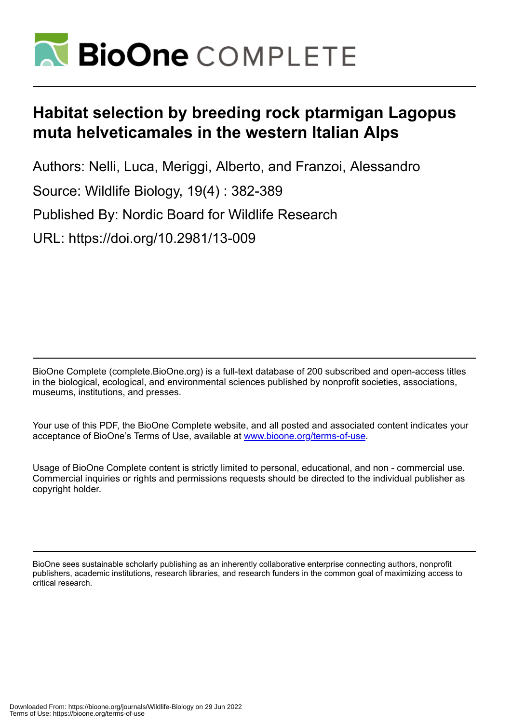

# **Habitat selection by breeding rock ptarmigan Lagopus muta helveticamales in the western Italian Alps**

Authors: Nelli, Luca, Meriggi, Alberto, and Franzoi, Alessandro Source: Wildlife Biology, 19(4) : 382-389 Published By: Nordic Board for Wildlife Research URL: https://doi.org/10.2981/13-009

BioOne Complete (complete.BioOne.org) is a full-text database of 200 subscribed and open-access titles in the biological, ecological, and environmental sciences published by nonprofit societies, associations, museums, institutions, and presses.

Your use of this PDF, the BioOne Complete website, and all posted and associated content indicates your acceptance of BioOne's Terms of Use, available at www.bioone.org/terms-of-use.

Usage of BioOne Complete content is strictly limited to personal, educational, and non - commercial use. Commercial inquiries or rights and permissions requests should be directed to the individual publisher as copyright holder.

BioOne sees sustainable scholarly publishing as an inherently collaborative enterprise connecting authors, nonprofit publishers, academic institutions, research libraries, and research funders in the common goal of maximizing access to critical research.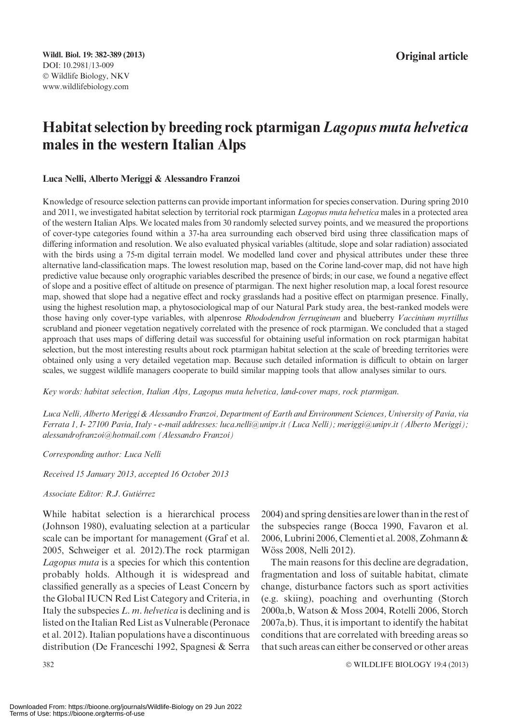# Habitat selection by breeding rock ptarmigan Lagopus muta helvetica males in the western Italian Alps

#### Luca Nelli, Alberto Meriggi & Alessandro Franzoi

Knowledge of resource selection patterns can provide important information for species conservation. During spring 2010 and 2011, we investigated habitat selection by territorial rock ptarmigan Lagopus muta helvetica males in a protected area of the western Italian Alps. We located males from 30 randomly selected survey points, and we measured the proportions of cover-type categories found within a 37-ha area surrounding each observed bird using three classification maps of differing information and resolution. We also evaluated physical variables (altitude, slope and solar radiation) associated with the birds using a 75-m digital terrain model. We modelled land cover and physical attributes under these three alternative land-classification maps. The lowest resolution map, based on the Corine land-cover map, did not have high predictive value because only orographic variables described the presence of birds; in our case, we found a negative effect of slope and a positive effect of altitude on presence of ptarmigan. The next higher resolution map, a local forest resource map, showed that slope had a negative effect and rocky grasslands had a positive effect on ptarmigan presence. Finally, using the highest resolution map, a phytosociological map of our Natural Park study area, the best-ranked models were those having only cover-type variables, with alpenrose Rhododendron ferrugineum and blueberry Vaccinium myrtillus scrubland and pioneer vegetation negatively correlated with the presence of rock ptarmigan. We concluded that a staged approach that uses maps of differing detail was successful for obtaining useful information on rock ptarmigan habitat selection, but the most interesting results about rock ptarmigan habitat selection at the scale of breeding territories were obtained only using a very detailed vegetation map. Because such detailed information is difficult to obtain on larger scales, we suggest wildlife managers cooperate to build similar mapping tools that allow analyses similar to ours.

Key words: habitat selection, Italian Alps, Lagopus muta helvetica, land-cover maps, rock ptarmigan.

Luca Nelli, Alberto Meriggi & Alessandro Franzoi, Department of Earth and Environment Sciences, University of Pavia, via Ferrata 1, I- 27100 Pavia, Italy - e-mail addresses: luca.nelli@unipv.it (Luca Nelli); meriggi@unipv.it (Alberto Meriggi); alessandrofranzoi@hotmail.com (Alessandro Franzoi)

#### Corresponding author: Luca Nelli

Received 15 January 2013, accepted 16 October 2013

#### Associate Editor: R.J. Gutiérrez

While habitat selection is a hierarchical process (Johnson 1980), evaluating selection at a particular scale can be important for management (Graf et al. 2005, Schweiger et al. 2012).The rock ptarmigan Lagopus muta is a species for which this contention probably holds. Although it is widespread and classified generally as a species of Least Concern by the Global IUCN Red List Category and Criteria, in Italy the subspecies  $L.$  m. helyetica is declining and is listed on the Italian Red List as Vulnerable (Peronace et al. 2012). Italian populations have a discontinuous distribution (De Franceschi 1992, Spagnesi & Serra

2004) and spring densities are lower than in the rest of the subspecies range (Bocca 1990, Favaron et al. 2006, Lubrini 2006, Clementi et al. 2008, Zohmann & Wöss 2008, Nelli 2012).

The main reasons for this decline are degradation, fragmentation and loss of suitable habitat, climate change, disturbance factors such as sport activities (e.g. skiing), poaching and overhunting (Storch 2000a,b, Watson & Moss 2004, Rotelli 2006, Storch 2007a,b). Thus, it is important to identify the habitat conditions that are correlated with breeding areas so that such areas can either be conserved or other areas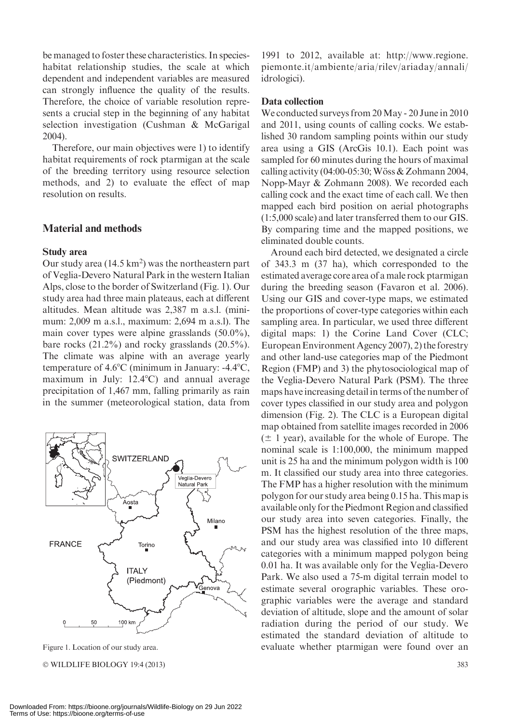be managed to foster these characteristics. In specieshabitat relationship studies, the scale at which dependent and independent variables are measured can strongly influence the quality of the results. Therefore, the choice of variable resolution represents a crucial step in the beginning of any habitat selection investigation (Cushman & McGarigal 2004).

Therefore, our main objectives were 1) to identify habitat requirements of rock ptarmigan at the scale of the breeding territory using resource selection methods, and 2) to evaluate the effect of map resolution on results.

# Material and methods

#### Study area

Our study area  $(14.5 \text{ km}^2)$  was the northeastern part of Veglia-Devero Natural Park in the western Italian Alps, close to the border of Switzerland (Fig. 1). Our study area had three main plateaus, each at different altitudes. Mean altitude was 2,387 m a.s.l. (minimum: 2,009 m a.s.l., maximum: 2,694 m a.s.l). The main cover types were alpine grasslands (50.0%), bare rocks (21.2%) and rocky grasslands (20.5%). The climate was alpine with an average yearly temperature of  $4.6^{\circ}$ C (minimum in January: -4.4 $^{\circ}$ C, maximum in July:  $12.4^{\circ}$ C) and annual average precipitation of 1,467 mm, falling primarily as rain in the summer (meteorological station, data from



© WILDLIFE BIOLOGY 19:4 (2013) 383

1991 to 2012, available at: http://www.regione. piemonte.it/ambiente/aria/rilev/ariaday/annali/ idrologici).

#### Data collection

We conducted surveys from 20May - 20 June in 2010 and 2011, using counts of calling cocks. We established 30 random sampling points within our study area using a GIS (ArcGis 10.1). Each point was sampled for 60 minutes during the hours of maximal calling activity (04:00-05:30; Wöss & Zohmann 2004, Nopp-Mayr & Zohmann 2008). We recorded each calling cock and the exact time of each call. We then mapped each bird position on aerial photographs (1:5,000 scale) and later transferred them to our GIS. By comparing time and the mapped positions, we eliminated double counts.

Around each bird detected, we designated a circle of 343.3 m (37 ha), which corresponded to the estimated average core area of a male rock ptarmigan during the breeding season (Favaron et al. 2006). Using our GIS and cover-type maps, we estimated the proportions of cover-type categories within each sampling area. In particular, we used three different digital maps: 1) the Corine Land Cover (CLC; EuropeanEnvironment Agency 2007), 2) the forestry and other land-use categories map of the Piedmont Region (FMP) and 3) the phytosociological map of the Veglia-Devero Natural Park (PSM). The three maps have increasing detail in terms of the number of cover types classified in our study area and polygon dimension (Fig. 2). The CLC is a European digital map obtained from satellite images recorded in 2006  $(\pm 1 \text{ year})$ , available for the whole of Europe. The nominal scale is 1:100,000, the minimum mapped unit is 25 ha and the minimum polygon width is 100 m. It classified our study area into three categories. The FMP has a higher resolution with the minimum polygon for our study area being 0.15 ha. This map is available only for the Piedmont Region and classified our study area into seven categories. Finally, the PSM has the highest resolution of the three maps, and our study area was classified into 10 different categories with a minimum mapped polygon being 0.01 ha. It was available only for the Veglia-Devero Park. We also used a 75-m digital terrain model to estimate several orographic variables. These orographic variables were the average and standard deviation of altitude, slope and the amount of solar radiation during the period of our study. We estimated the standard deviation of altitude to Figure 1. Location of our study area. evaluate whether ptarmigan were found over an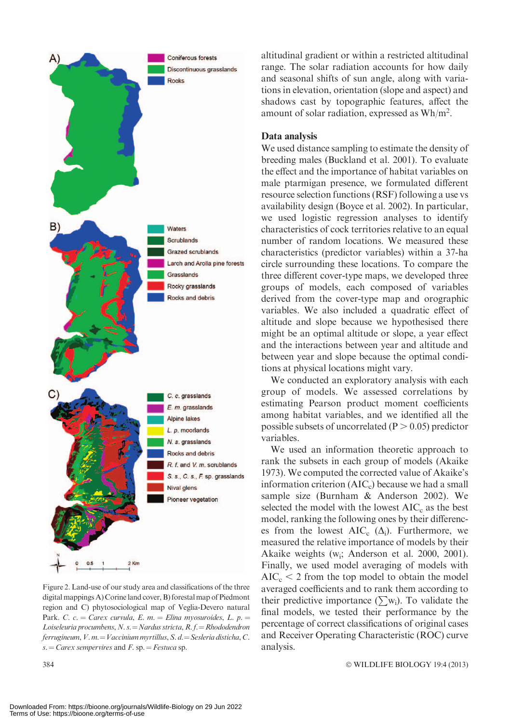

Figure 2. Land-use of our study area and classifications of the three digital mappings A) Corine land cover, B) forestal map of Piedmont region and C) phytosociological map of Veglia-Devero natural Park. C. c. = Carex curvula, E. m. = Elina myosuroides, L. p. = Loiseleuria procumbens, N. s. = Nardus stricta, R. f. = Rhododendron ferrugineum,  $V. m. = Vaccinium myrtillus, S. d. = Sesleria disticha, C.$ s.  $=$  Carex sempervires and F. sp.  $=$  Festuca sp.

altitudinal gradient or within a restricted altitudinal range. The solar radiation accounts for how daily and seasonal shifts of sun angle, along with variations in elevation, orientation (slope and aspect) and shadows cast by topographic features, affect the amount of solar radiation, expressed as Wh/m2 .

#### Data analysis

We used distance sampling to estimate the density of breeding males (Buckland et al. 2001). To evaluate the effect and the importance of habitat variables on male ptarmigan presence, we formulated different resource selection functions (RSF) following a use vs availability design (Boyce et al. 2002). In particular, we used logistic regression analyses to identify characteristics of cock territories relative to an equal number of random locations. We measured these characteristics (predictor variables) within a 37-ha circle surrounding these locations. To compare the three different cover-type maps, we developed three groups of models, each composed of variables derived from the cover-type map and orographic variables. We also included a quadratic effect of altitude and slope because we hypothesised there might be an optimal altitude or slope, a year effect and the interactions between year and altitude and between year and slope because the optimal conditions at physical locations might vary.

We conducted an exploratory analysis with each group of models. We assessed correlations by estimating Pearson product moment coefficients among habitat variables, and we identified all the possible subsets of uncorrelated ( $P > 0.05$ ) predictor variables.

We used an information theoretic approach to rank the subsets in each group of models (Akaike 1973). We computed the corrected value of Akaike's information criterion  $(AIC<sub>c</sub>)$  because we had a small sample size (Burnham & Anderson 2002). We selected the model with the lowest  $AIC<sub>c</sub>$  as the best model, ranking the following ones by their differences from the lowest  $AIC_c$  ( $\Delta_i$ ). Furthermore, we measured the relative importance of models by their Akaike weights (w<sub>i</sub>; Anderson et al. 2000, 2001). Finally, we used model averaging of models with  $AIC<sub>c</sub> < 2$  from the top model to obtain the model averaged coefficients and to rank them according to their predictive importance ( $\sum w_i$ ). To validate the final models, we tested their performance by the percentage of correct classifications of original cases and Receiver Operating Characteristic (ROC) curve analysis.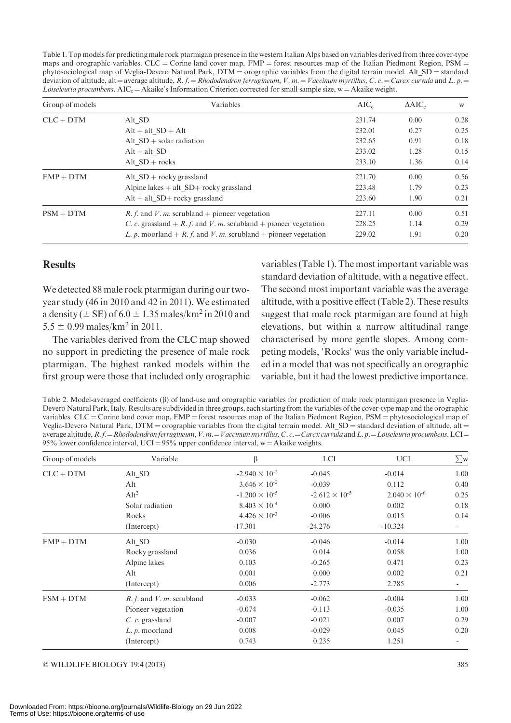Table 1. Top models for predicting male rock ptarmigan presence in the western Italian Alps based on variables derived from three cover-type maps and orographic variables.  $CLC =$  Corine land cover map,  $FMP =$  forest resources map of the Italian Piedmont Region,  $PSM =$ phytosociological map of Veglia-Devero Natural Park, DTM = orographic variables from the digital terrain model. Alt\_SD = standard deviation of altitude, alt = average altitude, R. f. = Rhododendron ferrugineum, V. m. = Vaccinum myrtillus, C. c. = Carex curvula and L. p. = Loiseleuria procumbens. AIC<sub>c</sub> = Akaike's Information Criterion corrected for small sample size, w = Akaike weight.

| Group of models | Variables                                                             |        | $\triangle AIC_c$ | W    |
|-----------------|-----------------------------------------------------------------------|--------|-------------------|------|
| $CLC + DTM$     | Alt SD                                                                | 231.74 | 0.00              | 0.28 |
|                 | $Alt + alt SD + Alt$                                                  | 232.01 | 0.27              | 0.25 |
|                 | Alt $SD + solar radiation$                                            | 232.65 | 0.91              | 0.18 |
|                 | $Alt + alt SD$                                                        | 233.02 | 1.28              | 0.15 |
|                 | Alt $SD + rocks$                                                      | 233.10 | 1.36              | 0.14 |
| $FMP + DTM$     | Alt $SD +$ rocky grassland                                            | 221.70 | 0.00              | 0.56 |
|                 | Alpine lakes $+$ alt SD $+$ rocky grassland                           | 223.48 | 1.79              | 0.23 |
|                 | $Alt + alt SD + rockv$ grassland                                      | 223.60 | 1.90              | 0.21 |
| $PSM + DTM$     | <i>R. f.</i> and <i>V. m.</i> scrubland + pioneer vegetation          | 227.11 | 0.00              | 0.51 |
|                 | C. c. grassland $+ R$ , f. and V. m. scrubland $+$ pioneer vegetation | 228.25 | 1.14              | 0.29 |
|                 | L. p. moorland + R. f. and V. m. scrubland + pioneer vegetation       | 229.02 | 1.91              | 0.20 |

# **Results**

We detected 88 male rock ptarmigan during our twoyear study (46 in 2010 and 42 in 2011). We estimated a density ( $\pm$  SE) of 6.0  $\pm$  1.35 males/km<sup>2</sup> in 2010 and  $5.5 \pm 0.99$  males/km<sup>2</sup> in 2011.

The variables derived from the CLC map showed no support in predicting the presence of male rock ptarmigan. The highest ranked models within the first group were those that included only orographic

variables (Table 1). The most important variable was standard deviation of altitude, with a negative effect. The second most important variable was the average altitude, with a positive effect (Table 2). These results suggest that male rock ptarmigan are found at high elevations, but within a narrow altitudinal range characterised by more gentle slopes. Among competing models, 'Rocks' was the only variable included in a model that was not specifically an orographic variable, but it had the lowest predictive importance.

Table 2. Model-averaged coefficients ( $\beta$ ) of land-use and orographic variables for prediction of male rock ptarmigan presence in Veglia-Devero Natural Park, Italy. Results are subdivided in three groups, each starting from the variables of the cover-type map and the orographic variables.  $CLC = Corine$  land cover map,  $FMP =$  forest resources map of the Italian Piedmont Region,  $PSM =$  phytosociological map of Veglia-Devero Natural Park, DTM = orographic variables from the digital terrain model. Alt  $SD =$  standard deviation of altitude, alt = average altitude,  $R$ ,  $f = Rhododendron$  ferrugineum,  $V$ ,  $m = Vaccinum$  myrtillus, C. c. = Carex curvula and L. p. = Loiseleuria procumbens. LCI = 95% lower confidence interval, UCI =  $95\%$  upper confidence interval, w = Akaike weights.

| Group of models | Variable                      | β                       | <b>LCI</b>              | UCI                    | $\sum_{W}$ |
|-----------------|-------------------------------|-------------------------|-------------------------|------------------------|------------|
| $CLC + DTM$     | Alt SD                        | $-2.940 \times 10^{-2}$ | $-0.045$                | $-0.014$               | 1.00       |
|                 | Alt                           | $3.646 \times 10^{-2}$  | $-0.039$                | 0.112                  | 0.40       |
|                 | Alt <sup>2</sup>              | $-1.200 \times 10^{-5}$ | $-2.612 \times 10^{-5}$ | $2.040 \times 10^{-6}$ | 0.25       |
|                 | Solar radiation               | $8.403 \times 10^{-4}$  | 0.000                   | 0.002                  | 0.18       |
|                 | Rocks                         | $4.426 \times 10^{-3}$  | $-0.006$                | 0.015                  | 0.14       |
|                 | (Intercept)                   | $-17.301$               | $-24.276$               | $-10.324$              | ۰          |
| $FMP + DTM$     | Alt SD                        | $-0.030$                | $-0.046$                | $-0.014$               | 1.00       |
|                 | Rocky grassland               | 0.036                   | 0.014                   | 0.058                  | 1.00       |
|                 | Alpine lakes                  | 0.103                   | $-0.265$                | 0.471                  | 0.23       |
|                 | Alt                           | 0.001                   | 0.000                   | 0.002                  | 0.21       |
|                 | (Intercept)                   | 0.006                   | $-2.773$                | 2.785                  | $\sim$     |
| $FSM + DTM$     | $R. f.$ and $V. m.$ scrubland | $-0.033$                | $-0.062$                | $-0.004$               | 1.00       |
|                 | Pioneer vegetation            | $-0.074$                | $-0.113$                | $-0.035$               | 1.00       |
|                 | $C. c.$ grassland             | $-0.007$                | $-0.021$                | 0.007                  | 0.29       |
|                 | $L. p.$ moorland              | 0.008                   | $-0.029$                | 0.045                  | 0.20       |
|                 | (Intercept)                   | 0.743                   | 0.235                   | 1.251                  |            |

- WILDLIFE BIOLOGY 19:4 (2013) 385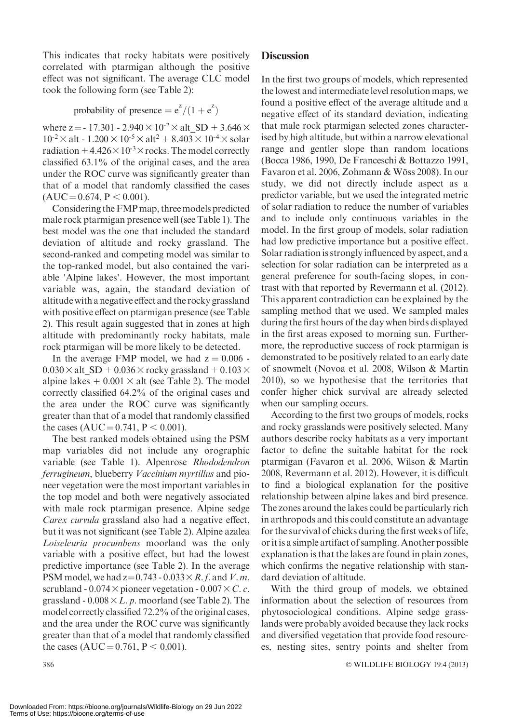This indicates that rocky habitats were positively correlated with ptarmigan although the positive effect was not significant. The average CLC model took the following form (see Table 2):

probability of presence  $= e^{z}/(1 + e^{z})$ 

where  $z = -17.301 - 2.940 \times 10^{-2} \times alt SD + 3.646 \times$  $10^{-2} \times$  alt - 1.200  $\times$  10<sup>-5</sup>  $\times$  alt<sup>2</sup> + 8.403  $\times$  10<sup>-4</sup>  $\times$  solar radiation  $+4.426\times10^{-3}\times$  rocks. The model correctly classified 63.1% of the original cases, and the area under the ROC curve was significantly greater than that of a model that randomly classified the cases  $(AUC = 0.674, P < 0.001).$ 

Considering the FMP map, three models predicted male rock ptarmigan presence well (see Table 1). The best model was the one that included the standard deviation of altitude and rocky grassland. The second-ranked and competing model was similar to the top-ranked model, but also contained the variable 'Alpine lakes'. However, the most important variable was, again, the standard deviation of altitude with a negative effect and the rocky grassland with positive effect on ptarmigan presence (see Table 2). This result again suggested that in zones at high altitude with predominantly rocky habitats, male rock ptarmigan will be more likely to be detected.

In the average FMP model, we had  $z = 0.006$ .  $0.030 \times$  alt SD + 0.036 $\times$  rocky grassland + 0.103 $\times$ alpine lakes  $+ 0.001 \times$  alt (see Table 2). The model correctly classified 64.2% of the original cases and the area under the ROC curve was significantly greater than that of a model that randomly classified the cases (AUC =  $0.741$ , P < 0.001).

The best ranked models obtained using the PSM map variables did not include any orographic variable (see Table 1). Alpenrose Rhododendron ferrugineum, blueberry Vaccinium myrtillus and pioneer vegetation were the most important variables in the top model and both were negatively associated with male rock ptarmigan presence. Alpine sedge Carex curvula grassland also had a negative effect, but it was not significant (see Table 2). Alpine azalea Loiseleuria procumbens moorland was the only variable with a positive effect, but had the lowest predictive importance (see Table 2). In the average PSM model, we had  $z=0.743 - 0.033 \times R$ . f. and V. m. scrubland - 0.074 $\times$  pioneer vegetation - 0.007 $\times$ C. c. grassland -  $0.008 \times L$ . p. moorland (see Table 2). The model correctly classified 72.2% of the original cases, and the area under the ROC curve was significantly greater than that of a model that randomly classified the cases (AUC =  $0.761$ , P < 0.001).

# **Discussion**

In the first two groups of models, which represented the lowest and intermediate level resolution maps, we found a positive effect of the average altitude and a negative effect of its standard deviation, indicating that male rock ptarmigan selected zones characterised by high altitude, but within a narrow elevational range and gentler slope than random locations (Bocca 1986, 1990, De Franceschi & Bottazzo 1991, Favaron et al. 2006, Zohmann & Wöss 2008). In our study, we did not directly include aspect as a predictor variable, but we used the integrated metric of solar radiation to reduce the number of variables and to include only continuous variables in the model. In the first group of models, solar radiation had low predictive importance but a positive effect. Solar radiation is strongly influenced by aspect, and a selection for solar radiation can be interpreted as a general preference for south-facing slopes, in contrast with that reported by Revermann et al. (2012). This apparent contradiction can be explained by the sampling method that we used. We sampled males during the first hours of the day when birds displayed in the first areas exposed to morning sun. Furthermore, the reproductive success of rock ptarmigan is demonstrated to be positively related to an early date of snowmelt (Novoa et al. 2008, Wilson & Martin 2010), so we hypothesise that the territories that confer higher chick survival are already selected when our sampling occurs.

According to the first two groups of models, rocks and rocky grasslands were positively selected. Many authors describe rocky habitats as a very important factor to define the suitable habitat for the rock ptarmigan (Favaron et al. 2006, Wilson & Martin 2008, Revermann et al. 2012). However, it is difficult to find a biological explanation for the positive relationship between alpine lakes and bird presence. The zones around the lakes could be particularly rich in arthropods and this could constitute an advantage for the survival of chicks during the first weeks of life, or it is a simple artifact of sampling. Another possible explanation is that the lakes are found in plain zones, which confirms the negative relationship with standard deviation of altitude.

With the third group of models, we obtained information about the selection of resources from phytosociological conditions. Alpine sedge grasslands were probably avoided because they lack rocks and diversified vegetation that provide food resources, nesting sites, sentry points and shelter from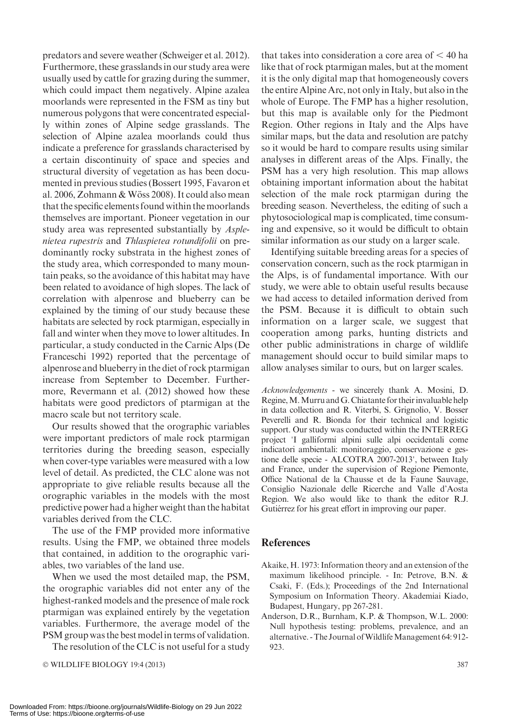Furthermore, these grasslands in our study area were usually used by cattle for grazing during the summer, which could impact them negatively. Alpine azalea moorlands were represented in the FSM as tiny but numerous polygons that were concentrated especially within zones of Alpine sedge grasslands. The selection of Alpine azalea moorlands could thus indicate a preference for grasslands characterised by a certain discontinuity of space and species and structural diversity of vegetation as has been documented in previous studies (Bossert 1995, Favaron et al. 2006, Zohmann & Wöss 2008). It could also mean that the specific elements found within the moorlands themselves are important. Pioneer vegetation in our study area was represented substantially by Asplenietea rupestris and Thlaspietea rotundifolii on predominantly rocky substrata in the highest zones of the study area, which corresponded to many mountain peaks, so the avoidance of this habitat may have been related to avoidance of high slopes. The lack of correlation with alpenrose and blueberry can be explained by the timing of our study because these habitats are selected by rock ptarmigan, especially in fall and winter when they move to lower altitudes. In particular, a study conducted in the Carnic Alps (De Franceschi 1992) reported that the percentage of alpenrose and blueberry in the diet of rock ptarmigan increase from September to December. Furthermore, Revermann et al. (2012) showed how these habitats were good predictors of ptarmigan at the macro scale but not territory scale. Our results showed that the orographic variables were important predictors of male rock ptarmigan territories during the breeding season, especially when cover-type variables were measured with a low level of detail. As predicted, the CLC alone was not appropriate to give reliable results because all the orographic variables in the models with the most

predators and severe weather (Schweiger et al. 2012).

variables derived from the CLC. The use of the FMP provided more informative results. Using the FMP, we obtained three models that contained, in addition to the orographic variables, two variables of the land use.

predictive power had a higher weight than the habitat

When we used the most detailed map, the PSM, the orographic variables did not enter any of the highest-ranked models and the presence of male rock ptarmigan was explained entirely by the vegetation variables. Furthermore, the average model of the PSM group was the best model in terms of validation.

The resolution of the CLC is not useful for a study

- WILDLIFE BIOLOGY 19:4 (2013) 387

that takes into consideration a core area of  $\leq 40$  ha like that of rock ptarmigan males, but at the moment it is the only digital map that homogeneously covers the entire Alpine Arc, not only in Italy, but also in the whole of Europe. The FMP has a higher resolution. but this map is available only for the Piedmont Region. Other regions in Italy and the Alps have similar maps, but the data and resolution are patchy so it would be hard to compare results using similar analyses in different areas of the Alps. Finally, the PSM has a very high resolution. This map allows obtaining important information about the habitat selection of the male rock ptarmigan during the breeding season. Nevertheless, the editing of such a phytosociological map is complicated, time consuming and expensive, so it would be difficult to obtain similar information as our study on a larger scale.

Identifying suitable breeding areas for a species of conservation concern, such as the rock ptarmigan in the Alps, is of fundamental importance. With our study, we were able to obtain useful results because we had access to detailed information derived from the PSM. Because it is difficult to obtain such information on a larger scale, we suggest that cooperation among parks, hunting districts and other public administrations in charge of wildlife management should occur to build similar maps to allow analyses similar to ours, but on larger scales.

Acknowledgements - we sincerely thank A. Mosini, D. Regine, M. Murru and G. Chiatante for their invaluable help in data collection and R. Viterbi, S. Grignolio, V. Bosser Peverelli and R. Bionda for their technical and logistic support. Our study was conducted within the INTERREG project 'I galliformi alpini sulle alpi occidentali come indicatori ambientali: monitoraggio, conservazione e gestione delle specie - ALCOTRA 2007-2013', between Italy and France, under the supervision of Regione Piemonte, Office National de la Chausse et de la Faune Sauvage, Consiglio Nazionale delle Ricerche and Valle d'Aosta Region. We also would like to thank the editor R.J. Gutiérrez for his great effort in improving our paper.

# **References**

- Akaike, H. 1973: Information theory and an extension of the maximum likelihood principle. - In: Petrove, B.N. & Csaki, F. (Eds.); Proceedings of the 2nd International Symposium on Information Theory. Akademiai Kiado, Budapest, Hungary, pp 267-281.
- Anderson, D.R., Burnham, K.P. & Thompson, W.L. 2000: Null hypothesis testing: problems, prevalence, and an alternative. - The Journal of Wildlife Management 64: 912-923.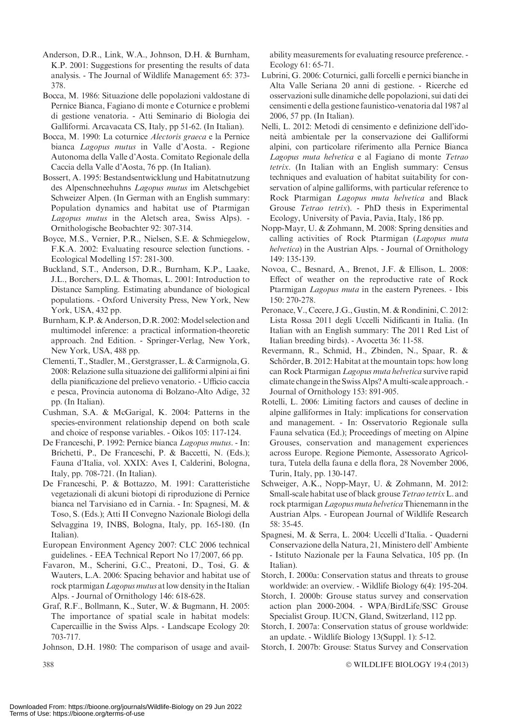- Anderson, D.R., Link, W.A., Johnson, D.H. & Burnham, K.P. 2001: Suggestions for presenting the results of data analysis. - The Journal of Wildlife Management 65: 373- 378.
- Bocca, M. 1986: Situazione delle popolazioni valdostane di Pernice Bianca, Fagiano di monte e Coturnice e problemi di gestione venatoria. - Atti Seminario di Biologia dei Galliformi. Arcavacata CS, Italy, pp 51-62. (In Italian).
- Bocca, M. 1990: La coturnice Alectoris graeca e la Pernice bianca Lagopus mutus in Valle d'Aosta. - Regione Autonoma della Valle d'Aosta. Comitato Regionale della Caccia della Valle d'Aosta, 76 pp. (In Italian).
- Bossert, A. 1995: Bestandsentwicklung und Habitatnutzung des Alpenschneehuhns Lagopus mutus im Aletschgebiet Schweizer Alpen. (In German with an English summary: Population dynamics and habitat use of Ptarmigan Lagopus mutus in the Aletsch area, Swiss Alps). - Ornithologische Beobachter 92: 307-314.
- Boyce, M.S., Vernier, P.R., Nielsen, S.E. & Schmiegelow, F.K.A. 2002: Evaluating resource selection functions. - Ecological Modelling 157: 281-300.
- Buckland, S.T., Anderson, D.R., Burnham, K.P., Laake, J.L., Borchers, D.L. & Thomas, L. 2001: Introduction to Distance Sampling. Estimating abundance of biological populations. - Oxford University Press, New York, New York, USA, 432 pp.
- Burnham, K.P. & Anderson, D.R. 2002: Model selection and multimodel inference: a practical information-theoretic approach. 2nd Edition. - Springer-Verlag, New York, New York, USA, 488 pp.
- Clementi, T., Stadler,M., Gerstgrasser, L. & Carmignola, G. 2008: Relazione sulla situazione dei galliformi alpini ai fini della pianificazione del prelievo venatorio. - Ufficio caccia e pesca, Provincia autonoma di Bolzano-Alto Adige, 32 pp. (In Italian).
- Cushman, S.A. & McGarigal, K. 2004: Patterns in the species-environment relationship depend on both scale and choice of response variables. - Oikos 105: 117-124.
- De Franceschi, P. 1992: Pernice bianca Lagopus mutus. In: Brichetti, P., De Franceschi, P. & Baccetti, N. (Eds.); Fauna d'Italia, vol. XXIX: Aves I, Calderini, Bologna, Italy, pp. 708-721. (In Italian).
- De Franceschi, P. & Bottazzo, M. 1991: Caratteristiche vegetazionali di alcuni biotopi di riproduzione di Pernice bianca nel Tarvisiano ed in Carnia. - In: Spagnesi, M. & Toso, S. (Eds.); Atti II Convegno Nazionale Biologi della Selvaggina 19, INBS, Bologna, Italy, pp. 165-180. (In Italian).
- European Environment Agency 2007: CLC 2006 technical guidelines. - EEA Technical Report No 17/2007, 66 pp.
- Favaron, M., Scherini, G.C., Preatoni, D., Tosi, G. & Wauters, L.A. 2006: Spacing behavior and habitat use of rock ptarmigan Lagopus mutus at low density in the Italian Alps. - Journal of Ornithology 146: 618-628.
- Graf, R.F., Bollmann, K., Suter, W. & Bugmann, H. 2005: The importance of spatial scale in habitat models: Capercaillie in the Swiss Alps. - Landscape Ecology 20: 703-717.
- Johnson, D.H. 1980: The comparison of usage and avail-

ability measurements for evaluating resource preference. - Ecology 61: 65-71.

- Lubrini, G. 2006: Coturnici, galli forcelli e pernici bianche in Alta Valle Seriana 20 anni di gestione. - Ricerche ed osservazioni sulle dinamiche delle popolazioni, sui dati dei censimenti e della gestione faunistico-venatoria dal 1987 al 2006, 57 pp. (In Italian).
- Nelli, L. 2012: Metodi di censimento e definizione dell'idoneita` ambientale per la conservazione dei Galliformi alpini, con particolare riferimento alla Pernice Bianca Lagopus muta helvetica e al Fagiano di monte Tetrao tetrix. (In Italian with an English summary: Census techniques and evaluation of habitat suitability for conservation of alpine galliforms, with particular reference to Rock Ptarmigan Lagopus muta helvetica and Black Grouse Tetrao tetrix). - PhD thesis in Experimental Ecology, University of Pavia, Pavia, Italy, 186 pp.
- Nopp-Mayr, U. & Zohmann, M. 2008: Spring densities and calling activities of Rock Ptarmigan (Lagopus muta helvetica) in the Austrian Alps. - Journal of Ornithology 149: 135-139.
- Novoa, C., Besnard, A., Brenot, J.F. & Ellison, L. 2008: Effect of weather on the reproductive rate of Rock Ptarmigan *Lagopus muta* in the eastern Pyrenees. - Ibis 150: 270-278.
- Peronace, V., Cecere, J.G., Gustin, M. & Rondinini, C. 2012: Lista Rossa 2011 degli Uccelli Nidificanti in Italia. (In Italian with an English summary: The 2011 Red List of Italian breeding birds). - Avocetta 36: 11-58.
- Revermann, R., Schmid, H., Zbinden, N., Spaar, R. & Schörder, B. 2012: Habitat at the mountain tops: how long can Rock Ptarmigan Lagopus muta helvetica survive rapid climate change in the Swiss Alps? A multi-scale approach. - Journal of Ornithology 153: 891-905.
- Rotelli, L. 2006: Limiting factors and causes of decline in alpine galliformes in Italy: implications for conservation and management. - In: Osservatorio Regionale sulla Fauna selvatica (Ed.); Proceedings of meeting on Alpine Grouses, conservation and management experiences across Europe. Regione Piemonte, Assessorato Agricoltura, Tutela della fauna e della flora, 28 November 2006, Turin, Italy, pp. 130-147.
- Schweiger, A.K., Nopp-Mayr, U. & Zohmann, M. 2012: Small-scale habitat use of black grouse Tetrao tetrix L. and rock ptarmigan Lagopus muta helvetica Thienemann in the Austrian Alps. - European Journal of Wildlife Research 58: 35-45.
- Spagnesi, M. & Serra, L. 2004: Uccelli d'Italia. Quaderni Conservazione della Natura, 21, Ministero dell' Ambiente - Istituto Nazionale per la Fauna Selvatica, 105 pp. (In Italian).
- Storch, I. 2000a: Conservation status and threats to grouse worldwide: an overview. - Wildlife Biology 6(4): 195-204.
- Storch, I. 2000b: Grouse status survey and conservation action plan 2000-2004. - WPA/BirdLife/SSC Grouse Specialist Group. IUCN, Gland, Switzerland, 112 pp.
- Storch, I. 2007a: Conservation status of grouse worldwide: an update. - Wildlife Biology 13(Suppl. 1): 5-12.
- Storch, I. 2007b: Grouse: Status Survey and Conservation

WILDLIFE BIOLOGY 19:4 (2013)

 $388$  -contract to the contract of the contract of the contract of the contract of the contract of the contract of the contract of the contract of the contract of the contract of the contract of the contract of the contra